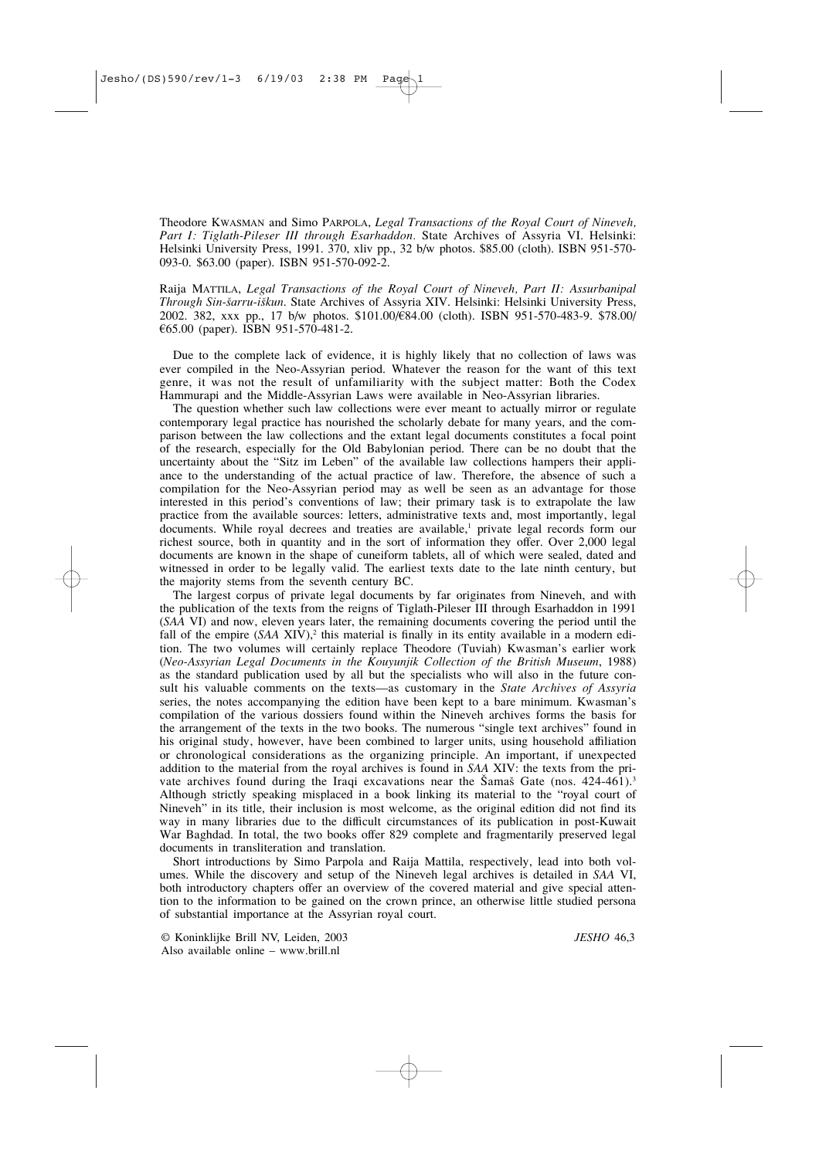Theodore KWASMAN and Simo PARPOLA, *Legal Transactions of the Royal Court of Nineveh, Part I: Tiglath-Pileser III through Esarhaddon.* State Archives of Assyria VI. Helsinki: Helsinki University Press, 1991. 370, xliv pp., 32 b/w photos. \$85.00 (cloth). ISBN 951-570- 093-0. \$63.00 (paper). ISBN 951-570-092-2.

Raija MATTILA, *Legal Transactions of the Royal Court of Nineveh, Part II: Assurbanipal* Through Sin-šarru-iškun. State Archives of Assyria XIV. Helsinki: Helsinki University Press, 2002. 382, xxx pp., 17 b/w photos. \$101.00/€84.00 (cloth). ISBN 951-570-483-9. \$78.00/ €65.00 (paper). ISBN 951-570-481-2.

Due to the complete lack of evidence, it is highly likely that no collection of laws was ever compiled in the Neo-Assyrian period. Whatever the reason for the want of this text genre, it was not the result of unfamiliarity with the subject matter: Both the Codex Hammurapi and the Middle-Assyrian Laws were available in Neo-Assyrian libraries.

The question whether such law collections were ever meant to actually mirror or regulate contemporary legal practice has nourished the scholarly debate for many years, and the comparison between the law collections and the extant legal documents constitutes a focal point of the research, especially for the Old Babylonian period. There can be no doubt that the uncertainty about the "Sitz im Leben" of the available law collections hampers their appliance to the understanding of the actual practice of law. Therefore, the absence of such a compilation for the Neo-Assyrian period may as well be seen as an advantage for those interested in this period's conventions of law; their primary task is to extrapolate the law practice from the available sources: letters, administrative texts and, most importantly, legal documents. While royal decrees and treaties are available,<sup>1</sup> private legal records form our richest source, both in quantity and in the sort of information they offer. Over 2,000 legal documents are known in the shape of cuneiform tablets, all of which were sealed, dated and witnessed in order to be legally valid. The earliest texts date to the late ninth century, but the majority stems from the seventh century BC.

The largest corpus of private legal documents by far originates from Nineveh, and with the publication of the texts from the reigns of Tiglath-Pileser III through Esarhaddon in 1991 (*SAA* VI) and now, eleven years later, the remaining documents covering the period until the fall of the empire (*SAA* XIV),<sup>2</sup> this material is finally in its entity available in a modern edition. The two volumes will certainly replace Theodore (Tuviah) Kwasman's earlier work (*Neo-Assyrian Legal Documents in the Kouyunjik Collection of the British Museum*, 1988) as the standard publication used by all but the specialists who will also in the future consult his valuable comments on the texts—as customary in the *State Archives of Assyria* series, the notes accompanying the edition have been kept to a bare minimum. Kwasman's compilation of the various dossiers found within the Nineveh archives forms the basis for the arrangement of the texts in the two books. The numerous "single text archives" found in his original study, however, have been combined to larger units, using household affiliation or chronological considerations as the organizing principle. An important, if unexpected addition to the material from the royal archives is found in *SAA* XIV: the texts from the private archives found during the Iraqi excavations near the  $\text{Samaš}$  Gate (nos. 424-461).<sup>3</sup> Although strictly speaking misplaced in a book linking its material to the "royal court of Nineveh" in its title, their inclusion is most welcome, as the original edition did not find its way in many libraries due to the difficult circumstances of its publication in post-Kuwait War Baghdad. In total, the two books offer 829 complete and fragmentarily preserved legal documents in transliteration and translation.

Short introductions by Simo Parpola and Raija Mattila, respectively, lead into both volumes. While the discovery and setup of the Nineveh legal archives is detailed in *SAA* VI, both introductory chapters offer an overview of the covered material and give special attention to the information to be gained on the crown prince, an otherwise little studied persona of substantial importance at the Assyrian royal court.

© Koninklijke Brill NV, Leiden, 2003 *JESHO* 46,3 Also available online – www.brill.nl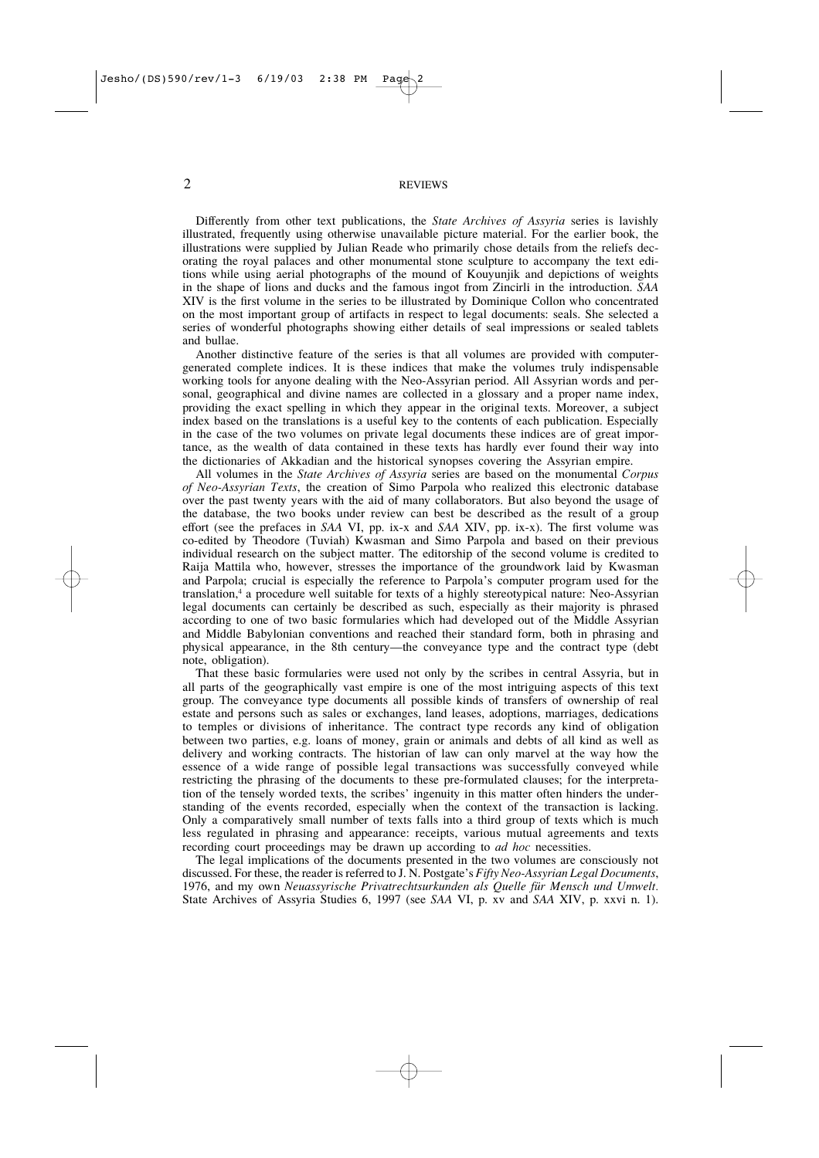## 2 REVIEWS

Differently from other text publications, the *State Archives of Assyria* series is lavishly illustrated, frequently using otherwise unavailable picture material. For the earlier book, the illustrations were supplied by Julian Reade who primarily chose details from the reliefs decorating the royal palaces and other monumental stone sculpture to accompany the text editions while using aerial photographs of the mound of Kouyunjik and depictions of weights in the shape of lions and ducks and the famous ingot from Zincirli in the introduction. *SAA* XIV is the first volume in the series to be illustrated by Dominique Collon who concentrated on the most important group of artifacts in respect to legal documents: seals. She selected a series of wonderful photographs showing either details of seal impressions or sealed tablets and bullae.

Another distinctive feature of the series is that all volumes are provided with computergenerated complete indices. It is these indices that make the volumes truly indispensable working tools for anyone dealing with the Neo-Assyrian period. All Assyrian words and personal, geographical and divine names are collected in a glossary and a proper name index, providing the exact spelling in which they appear in the original texts. Moreover, a subject index based on the translations is a useful key to the contents of each publication. Especially in the case of the two volumes on private legal documents these indices are of great importance, as the wealth of data contained in these texts has hardly ever found their way into the dictionaries of Akkadian and the historical synopses covering the Assyrian empire.

All volumes in the *State Archives of Assyria* series are based on the monumental *Corpus of Neo-Assyrian Texts*, the creation of Simo Parpola who realized this electronic database over the past twenty years with the aid of many collaborators. But also beyond the usage of the database, the two books under review can best be described as the result of a group effort (see the prefaces in *SAA* VI, pp. ix-x and *SAA* XIV, pp. ix-x). The first volume was co-edited by Theodore (Tuviah) Kwasman and Simo Parpola and based on their previous individual research on the subject matter. The editorship of the second volume is credited to Raija Mattila who, however, stresses the importance of the groundwork laid by Kwasman and Parpola; crucial is especially the reference to Parpola's computer program used for the translation,4 a procedure well suitable for texts of a highly stereotypical nature: Neo-Assyrian legal documents can certainly be described as such, especially as their majority is phrased according to one of two basic formularies which had developed out of the Middle Assyrian and Middle Babylonian conventions and reached their standard form, both in phrasing and physical appearance, in the 8th century—the conveyance type and the contract type (debt note, obligation).

That these basic formularies were used not only by the scribes in central Assyria, but in all parts of the geographically vast empire is one of the most intriguing aspects of this text group. The conveyance type documents all possible kinds of transfers of ownership of real estate and persons such as sales or exchanges, land leases, adoptions, marriages, dedications to temples or divisions of inheritance. The contract type records any kind of obligation between two parties, e.g. loans of money, grain or animals and debts of all kind as well as delivery and working contracts. The historian of law can only marvel at the way how the essence of a wide range of possible legal transactions was successfully conveyed while restricting the phrasing of the documents to these pre-formulated clauses; for the interpretation of the tensely worded texts, the scribes' ingenuity in this matter often hinders the understanding of the events recorded, especially when the context of the transaction is lacking. Only a comparatively small number of texts falls into a third group of texts which is much less regulated in phrasing and appearance: receipts, various mutual agreements and texts recording court proceedings may be drawn up according to *ad hoc* necessities.

The legal implications of the documents presented in the two volumes are consciously not discussed. For these, the reader is referred to J. N. Postgate's *Fifty Neo-Assyrian Legal Documents*, 1976, and my own *Neuassyrische Privatrechtsurkunden als Quelle für Mensch und Umwelt.* State Archives of Assyria Studies 6, 1997 (see *SAA* VI, p. xv and *SAA* XIV, p. xxvi n. 1).